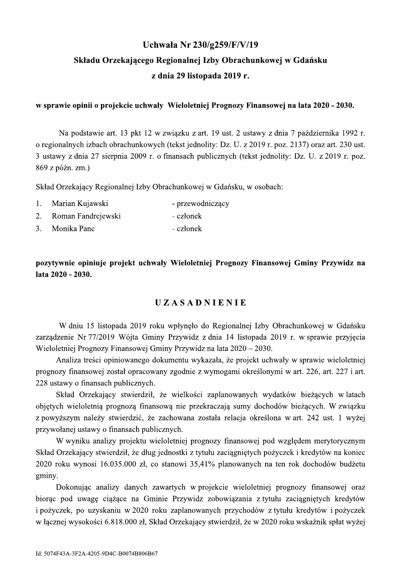## Uchwała Nr 230/g259/F/V/19 Składu Orzekającego Regionalnej Izby Obrachunkowej w Gdańsku z dnia 29 listopada 2019 r.

#### w sprawie opinii o projekcie uchwały Wieloletniej Prognozy Finansowej na lata 2020 - 2030.

Na podstawie art. 13 pkt 12 w związku z art. 19 ust. 2 ustawy z dnia 7 października 1992 r. o regionalnych izbach obrachunkowych (tekst jednolity: Dz. U. z 2019 r. poz. 2137) oraz art. 230 ust. 3 ustawy z dnia 27 sierpnia 2009 r. o finansach publicznych (tekst jednolity: Dz. U. z 2019 r. poz. 869 z późn. zm.)

Skład Orzekający Regionalnej Izby Obrachunkowej w Gdańsku, w osobach:

- 1. Marian Kujawski - przewodniczący
- $2.$ Roman Fandrejewski - członek
- $\mathcal{E}$ Monika Panc - członek

pozytywnie opiniuje projekt uchwały Wieloletniej Prognozy Finansowej Gminy Przywidz na lata 2020 - 2030.

### **UZASADNIENIE**

W dniu 15 listopada 2019 roku wpłynęło do Regionalnej Izby Obrachunkowej w Gdańsku zarządzenie Nr 77/2019 Wójta Gminy Przywidz z dnia 14 listopada 2019 r. w sprawie przyjęcia Wieloletniej Prognozy Finansowej Gminy Przywidz na lata 2020 – 2030.

Analiza treści opiniowanego dokumentu wykazała, że projekt uchwały w sprawie wieloletniej prognozy finansowej został opracowany zgodnie z wymogami określonymi w art. 226, art. 227 i art. 228 ustawy o finansach publicznych.

Skład Orzekający stwierdził, że wielkości zaplanowanych wydatków bieżących w latach objętych wieloletnią prognozą finansową nie przekraczają sumy dochodów bieżących. W związku z powyższym należy stwierdzić, że zachowana została relacja określona w art. 242 ust. 1 wyżej przywołanej ustawy o finansach publicznych.

W wyniku analizy projektu wieloletniej prognozy finansowej pod względem merytorycznym Skład Orzekający stwierdził, że dług jednostki z tytułu zaciągniętych pożyczek i kredytów na koniec 2020 roku wynosi 16.035.000 zł, co stanowi 35,41% planowanych na ten rok dochodów budżetu gminy.

Dokonując analizy danych zawartych w projekcie wieloletniej prognozy finansowej oraz biorac pod uwagę ciażace na Gminie Przywidz zobowiazania z tytułu zaciagnietych kredytów i pożyczek, po uzyskaniu w 2020 roku zaplanowanych przychodów z tytułu kredytów i pożyczek w łącznej wysokości 6.818.000 zł, Skład Orzekający stwierdził, że w 2020 roku wskaźnik spłat wyżej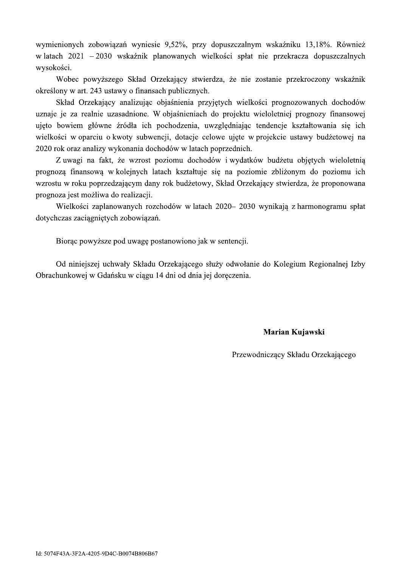wymienionych zobowiązań wyniesie 9,52%, przy dopuszczalnym wskaźniku 13,18%. Również w latach 2021 – 2030 wskaźnik planowanych wielkości spłat nie przekracza dopuszczalnych wysokości.

Wobec powyższego Skład Orzekający stwierdza, że nie zostanie przekroczony wskaźnik określony w art. 243 ustawy o finansach publicznych.

Skład Orzekający analizując objaśnienia przyjętych wielkości prognozowanych dochodów uznaje je za realnie uzasadnione. W objaśnieniach do projektu wieloletniej prognozy finansowej ujęto bowiem główne źródła ich pochodzenia, uwzględniając tendencje kształtowania się ich wielkości w oparciu o kwoty subwencji, dotacje celowe ujęte w projekcie ustawy budżetowej na 2020 rok oraz analizy wykonania dochodów w latach poprzednich.

Z uwagi na fakt, że wzrost poziomu dochodów i wydatków budżetu objętych wieloletnią prognozą finansową w kolejnych latach kształtuje się na poziomie zbliżonym do poziomu ich wzrostu w roku poprzedzającym dany rok budżetowy, Skład Orzekający stwierdza, że proponowana prognoza jest możliwa do realizacji.

Wielkości zaplanowanych rozchodów w latach 2020–2030 wynikają z harmonogramu spłat dotychczas zaciągniętych zobowiązań.

Biorac powyższe pod uwagę postanowiono jak w sentencji.

Od niniejszej uchwały Składu Orzekającego służy odwołanie do Kolegium Regionalnej Izby Obrachunkowej w Gdańsku w ciągu 14 dni od dnia jej doręczenia.

### Marian Kujawski

Przewodniczący Składu Orzekającego